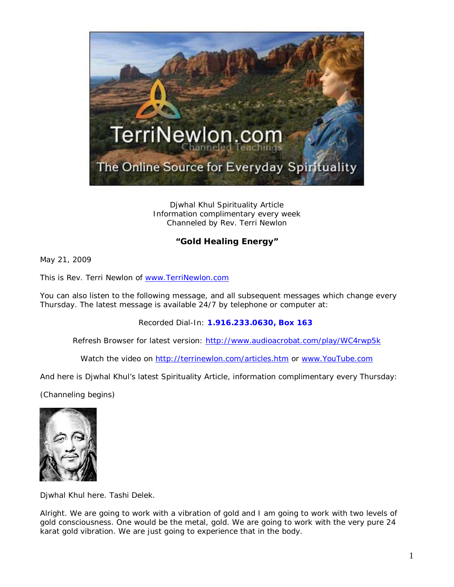

Djwhal Khul Spirituality Article Information complimentary every week Channeled by Rev. Terri Newlon

## **"Gold Healing Energy"**

May 21, 2009

This is Rev. Terri Newlon of [www.TerriNewlon.com](http://www.terrinewlon.com/)

You can also listen to the following message, and all subsequent messages which change every Thursday. The latest message is available 24/7 by telephone or computer at:

Recorded Dial-In: **1.916.233.0630, Box 163**

Refresh Browser for latest version: <http://www.audioacrobat.com/play/WC4rwp5k>

Watch the video on<http://terrinewlon.com/articles.htm> or [www.YouTube.com](http://www.youtube.com/)

And here is Djwhal Khul's latest Spirituality Article, information complimentary every Thursday:

(Channeling begins)



Djwhal Khul here. Tashi Delek.

Alright. We are going to work with a vibration of gold and I am going to work with two levels of gold consciousness. One would be the metal, gold. We are going to work with the very pure 24 karat gold vibration. We are just going to experience that in the body.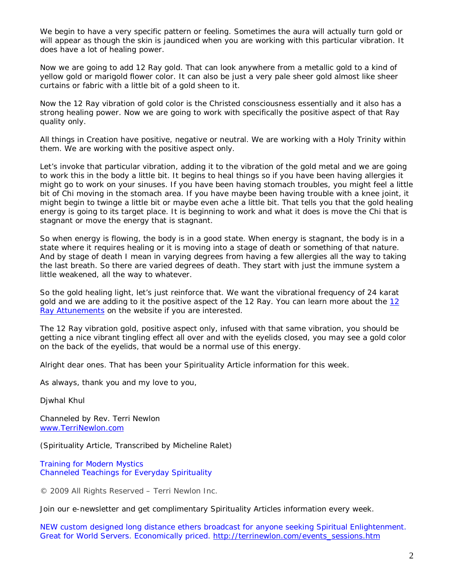We begin to have a very specific pattern or feeling. Sometimes the aura will actually turn gold or will appear as though the skin is jaundiced when you are working with this particular vibration. It does have a lot of healing power.

Now we are going to add 12 Ray gold. That can look anywhere from a metallic gold to a kind of yellow gold or marigold flower color. It can also be just a very pale sheer gold almost like sheer curtains or fabric with a little bit of a gold sheen to it.

Now the 12 Ray vibration of gold color is the Christed consciousness essentially and it also has a strong healing power. Now we are going to work with specifically the positive aspect of that Ray quality only.

All things in Creation have positive, negative or neutral. We are working with a Holy Trinity within them. We are working with the positive aspect only.

Let's invoke that particular vibration, adding it to the vibration of the gold metal and we are going to work this in the body a little bit. It begins to heal things so if you have been having allergies it might go to work on your sinuses. If you have been having stomach troubles, you might feel a little bit of Chi moving in the stomach area. If you have maybe been having trouble with a knee joint, it might begin to twinge a little bit or maybe even ache a little bit. That tells you that the gold healing energy is going to its target place. It is beginning to work and what it does is move the Chi that is stagnant or move the energy that is stagnant.

So when energy is flowing, the body is in a good state. When energy is stagnant, the body is in a state where it requires healing or it is moving into a stage of death or something of that nature. And by stage of death I mean in varying degrees from having a few allergies all the way to taking the last breath. So there are varied degrees of death. They start with just the immune system a little weakened, all the way to whatever.

So the gold healing light, let's just reinforce that. We want the vibrational frequency of 24 karat gold and we are adding to it the positive aspect of the [12](http://www.terrinewlon.com/12_ray_attunements.htm) Ray. You can learn more about the 12 [Ray Attunements](http://www.terrinewlon.com/12_ray_attunements.htm) on the website if you are interested.

The 12 Ray vibration gold, positive aspect only, infused with that same vibration, you should be getting a nice vibrant tingling effect all over and with the eyelids closed, you may see a gold color on the back of the eyelids, that would be a normal use of this energy.

Alright dear ones. That has been your Spirituality Article information for this week.

As always, thank you and my love to you,

Djwhal Khul

Channeled by Rev. Terri Newlon [www.TerriNewlon.com](http://www.terrinewlon.com/)

(Spirituality Article, Transcribed by Micheline Ralet)

Training for Modern Mystics [Channeled Teachings for Everyday Spirituality](http://www.terrinewlon.com/)

© 2009 All Rights Reserved – Terri Newlon Inc.

Join our e-newsletter and get complimentary Spirituality Articles information every week.

NEW custom designed long distance ethers broadcast for anyone seeking Spiritual Enlightenment. Great for World Servers. Economically priced. [http://terrinewlon.com/events\\_sessions.htm](http://terrinewlon.com/events_sessions.htm)